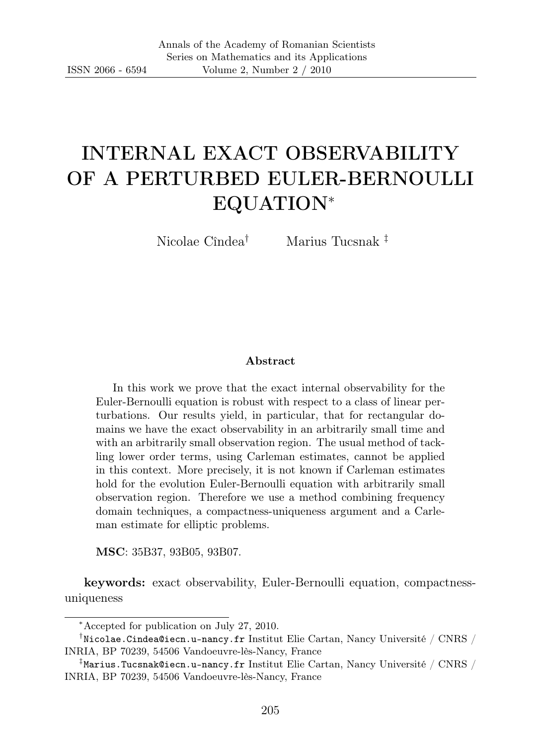# INTERNAL EXACT OBSERVABILITY OF A PERTURBED EULER-BERNOULLI EQUATION<sup>∗</sup>

Nicolae Cîndea† Marius Tucsnak ‡

#### Abstract

In this work we prove that the exact internal observability for the Euler-Bernoulli equation is robust with respect to a class of linear perturbations. Our results yield, in particular, that for rectangular domains we have the exact observability in an arbitrarily small time and with an arbitrarily small observation region. The usual method of tackling lower order terms, using Carleman estimates, cannot be applied in this context. More precisely, it is not known if Carleman estimates hold for the evolution Euler-Bernoulli equation with arbitrarily small observation region. Therefore we use a method combining frequency domain techniques, a compactness-uniqueness argument and a Carleman estimate for elliptic problems.

MSC: 35B37, 93B05, 93B07.

keywords: exact observability, Euler-Bernoulli equation, compactnessuniqueness

<sup>∗</sup>Accepted for publication on July 27, 2010.

 $^\dagger$ Nicolae.Cindea@iecn.u-nancy.fr Institut Elie Cartan, Nancy Université / CNRS / INRIA, BP 70239, 54506 Vandoeuvre-lès-Nancy, France

 $^{\ddagger}$ Marius.Tucsnak@iecn.u-nancy.fr Institut Elie Cartan, Nancy Université / CNRS / INRIA, BP 70239, 54506 Vandoeuvre-lès-Nancy, France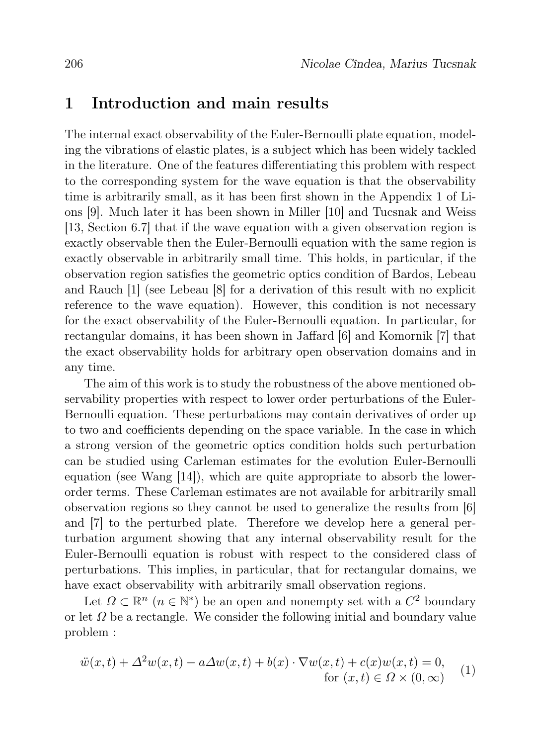### 1 Introduction and main results

The internal exact observability of the Euler-Bernoulli plate equation, modeling the vibrations of elastic plates, is a subject which has been widely tackled in the literature. One of the features differentiating this problem with respect to the corresponding system for the wave equation is that the observability time is arbitrarily small, as it has been first shown in the Appendix 1 of Lions [9]. Much later it has been shown in Miller [10] and Tucsnak and Weiss [13, Section 6.7] that if the wave equation with a given observation region is exactly observable then the Euler-Bernoulli equation with the same region is exactly observable in arbitrarily small time. This holds, in particular, if the observation region satisfies the geometric optics condition of Bardos, Lebeau and Rauch [1] (see Lebeau [8] for a derivation of this result with no explicit reference to the wave equation). However, this condition is not necessary for the exact observability of the Euler-Bernoulli equation. In particular, for rectangular domains, it has been shown in Jaffard [6] and Komornik [7] that the exact observability holds for arbitrary open observation domains and in any time.

The aim of this work is to study the robustness of the above mentioned observability properties with respect to lower order perturbations of the Euler-Bernoulli equation. These perturbations may contain derivatives of order up to two and coefficients depending on the space variable. In the case in which a strong version of the geometric optics condition holds such perturbation can be studied using Carleman estimates for the evolution Euler-Bernoulli equation (see Wang [14]), which are quite appropriate to absorb the lowerorder terms. These Carleman estimates are not available for arbitrarily small observation regions so they cannot be used to generalize the results from [6] and [7] to the perturbed plate. Therefore we develop here a general perturbation argument showing that any internal observability result for the Euler-Bernoulli equation is robust with respect to the considered class of perturbations. This implies, in particular, that for rectangular domains, we have exact observability with arbitrarily small observation regions.

Let  $\Omega \subset \mathbb{R}^n$   $(n \in \mathbb{N}^*)$  be an open and nonempty set with a  $C^2$  boundary or let  $\Omega$  be a rectangle. We consider the following initial and boundary value problem :

$$
\ddot{w}(x,t) + \Delta^2 w(x,t) - a\Delta w(x,t) + b(x) \cdot \nabla w(x,t) + c(x)w(x,t) = 0,
$$
  
for  $(x,t) \in \Omega \times (0,\infty)$  (1)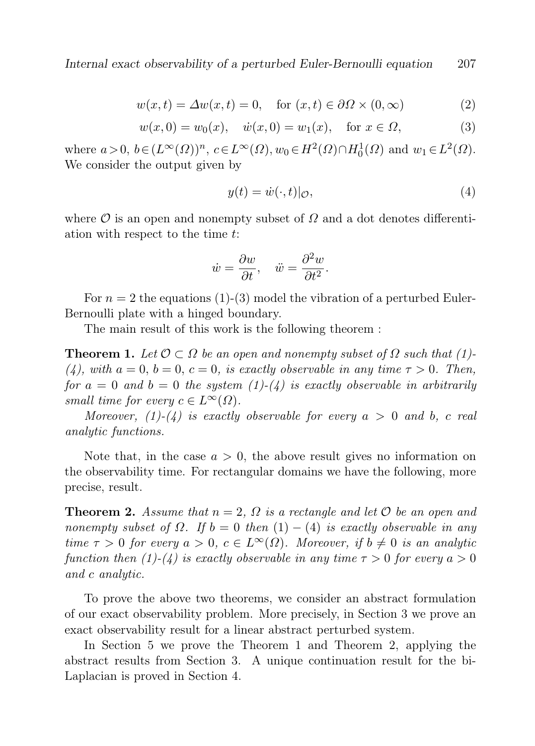Internal exact observability of a perturbed Euler-Bernoulli equation 207

$$
w(x,t) = \Delta w(x,t) = 0, \quad \text{for } (x,t) \in \partial\Omega \times (0,\infty)
$$
 (2)

$$
w(x,0) = w_0(x), \quad \dot{w}(x,0) = w_1(x), \quad \text{for } x \in \Omega,
$$
 (3)

where  $a > 0$ ,  $b \in (L^{\infty}(\Omega))^n$ ,  $c \in L^{\infty}(\Omega)$ ,  $w_0 \in H^2(\Omega) \cap H_0^1(\Omega)$  and  $w_1 \in L^2(\Omega)$ . We consider the output given by

$$
y(t) = \dot{w}(\cdot, t)|_{\mathcal{O}},\tag{4}
$$

where  $\mathcal O$  is an open and nonempty subset of  $\Omega$  and a dot denotes differentiation with respect to the time t:

$$
\dot{w} = \frac{\partial w}{\partial t}, \quad \ddot{w} = \frac{\partial^2 w}{\partial t^2}.
$$

For  $n = 2$  the equations (1)-(3) model the vibration of a perturbed Euler-Bernoulli plate with a hinged boundary.

The main result of this work is the following theorem :

**Theorem 1.** Let  $\mathcal{O} \subset \Omega$  be an open and nonempty subset of  $\Omega$  such that (1)-(4), with  $a = 0$ ,  $b = 0$ ,  $c = 0$ , is exactly observable in any time  $\tau > 0$ . Then, for  $a = 0$  and  $b = 0$  the system  $(1)-(4)$  is exactly observable in arbitrarily small time for every  $c \in L^{\infty}(\Omega)$ .

Moreover, (1)-(4) is exactly observable for every  $a > 0$  and b, c real analytic functions.

Note that, in the case  $a > 0$ , the above result gives no information on the observability time. For rectangular domains we have the following, more precise, result.

**Theorem 2.** Assume that  $n = 2$ ,  $\Omega$  is a rectangle and let  $\mathcal O$  be an open and nonempty subset of  $\Omega$ . If  $b = 0$  then  $(1) - (4)$  is exactly observable in any time  $\tau > 0$  for every  $a > 0$ ,  $c \in L^{\infty}(\Omega)$ . Moreover, if  $b \neq 0$  is an analytic function then (1)-(4) is exactly observable in any time  $\tau > 0$  for every  $a > 0$ and c analytic.

To prove the above two theorems, we consider an abstract formulation of our exact observability problem. More precisely, in Section 3 we prove an exact observability result for a linear abstract perturbed system.

In Section 5 we prove the Theorem 1 and Theorem 2, applying the abstract results from Section 3. A unique continuation result for the bi-Laplacian is proved in Section 4.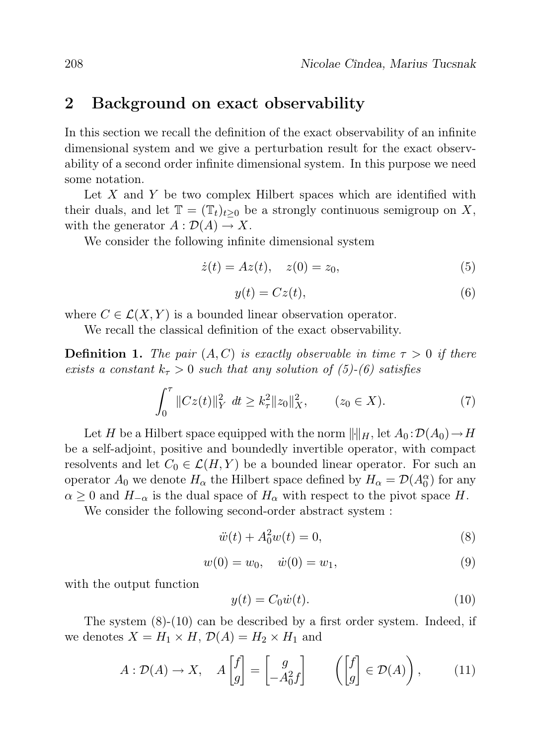### 2 Background on exact observability

In this section we recall the definition of the exact observability of an infinite dimensional system and we give a perturbation result for the exact observability of a second order infinite dimensional system. In this purpose we need some notation.

Let  $X$  and  $Y$  be two complex Hilbert spaces which are identified with their duals, and let  $\mathbb{T} = (\mathbb{T}_t)_{t>0}$  be a strongly continuous semigroup on X, with the generator  $A: \mathcal{D}(A) \to X$ .

We consider the following infinite dimensional system

$$
\dot{z}(t) = Az(t), \quad z(0) = z_0,\tag{5}
$$

$$
y(t) = Cz(t),\tag{6}
$$

where  $C \in \mathcal{L}(X, Y)$  is a bounded linear observation operator.

We recall the classical definition of the exact observability.

**Definition 1.** The pair  $(A, C)$  is exactly observable in time  $\tau > 0$  if there exists a constant  $k_{\tau} > 0$  such that any solution of (5)-(6) satisfies

$$
\int_0^{\tau} ||Cz(t)||_Y^2 dt \ge k_\tau^2 ||z_0||_X^2, \qquad (z_0 \in X). \tag{7}
$$

Let H be a Hilbert space equipped with the norm  $\|\cdot\|_H$ , let  $A_0 : \mathcal{D}(A_0) \to H$ be a self-adjoint, positive and boundedly invertible operator, with compact resolvents and let  $C_0 \in \mathcal{L}(H, Y)$  be a bounded linear operator. For such an operator  $A_0$  we denote  $H_\alpha$  the Hilbert space defined by  $H_\alpha = \mathcal{D}(A_0^\alpha)$  for any  $\alpha \geq 0$  and  $H_{-\alpha}$  is the dual space of  $H_{\alpha}$  with respect to the pivot space H.

We consider the following second-order abstract system :

$$
\ddot{w}(t) + A_0^2 w(t) = 0,\t\t(8)
$$

$$
w(0) = w_0, \quad \dot{w}(0) = w_1,\tag{9}
$$

with the output function

$$
y(t) = C_0 \dot{w}(t). \tag{10}
$$

The system (8)-(10) can be described by a first order system. Indeed, if we denotes  $X = H_1 \times H$ ,  $\mathcal{D}(A) = H_2 \times H_1$  and

$$
A: \mathcal{D}(A) \to X, \quad A\begin{bmatrix} f \\ g \end{bmatrix} = \begin{bmatrix} g \\ -A_0^2 f \end{bmatrix} \qquad \left( \begin{bmatrix} f \\ g \end{bmatrix} \in \mathcal{D}(A) \right), \tag{11}
$$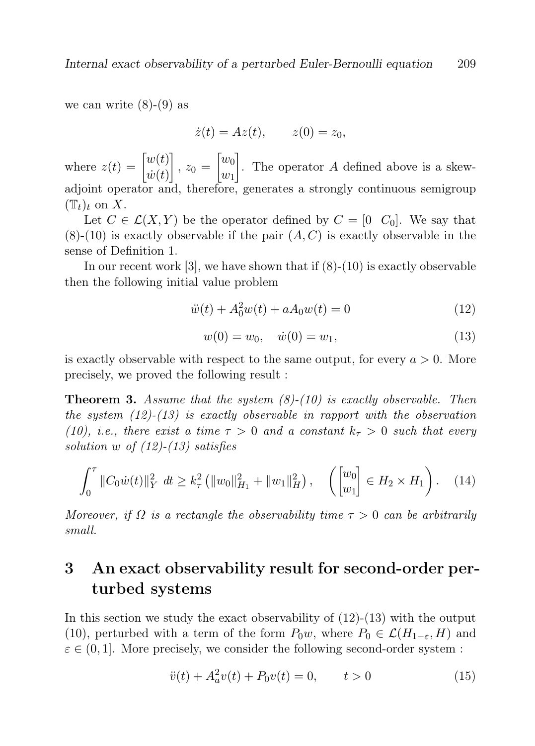we can write  $(8)-(9)$  as

$$
\dot{z}(t) = Az(t), \qquad z(0) = z_0,
$$

where  $z(t) = \begin{bmatrix} w(t) \\ \vdots \end{bmatrix}$  $\dot{w}(t)$  $\Bigg], z_0 = \Bigg[ \begin{matrix} w_0 \\ w_1 \end{matrix} \Bigg]$  $w_1$ . The operator  $A$  defined above is a skewadjoint operator and, therefore, generates a strongly continuous semigroup  $(\mathbb{T}_t)_t$  on X.

Let  $C \in \mathcal{L}(X, Y)$  be the operator defined by  $C = \{0, C_0\}$ . We say that  $(8)-(10)$  is exactly observable if the pair  $(A, C)$  is exactly observable in the sense of Definition 1.

In our recent work  $[3]$ , we have shown that if  $(8)-(10)$  is exactly observable then the following initial value problem

$$
\ddot{w}(t) + A_0^2 w(t) + aA_0 w(t) = 0 \tag{12}
$$

$$
w(0) = w_0, \quad \dot{w}(0) = w_1,\tag{13}
$$

is exactly observable with respect to the same output, for every  $a > 0$ . More precisely, we proved the following result :

**Theorem 3.** Assume that the system  $(8)-(10)$  is exactly observable. Then the system  $(12)-(13)$  is exactly observable in rapport with the observation (10), i.e., there exist a time  $\tau > 0$  and a constant  $k_{\tau} > 0$  such that every solution w of  $(12)-(13)$  satisfies

$$
\int_0^{\tau} ||C_0 \dot{w}(t)||_Y^2 dt \ge k_\tau^2 \left( ||w_0||_{H_1}^2 + ||w_1||_H^2 \right), \quad \left( \begin{bmatrix} w_0 \\ w_1 \end{bmatrix} \in H_2 \times H_1 \right). \quad (14)
$$

Moreover, if  $\Omega$  is a rectangle the observability time  $\tau > 0$  can be arbitrarily small.

## 3 An exact observability result for second-order perturbed systems

In this section we study the exact observability of  $(12)-(13)$  with the output (10), perturbed with a term of the form  $P_0w$ , where  $P_0 \in \mathcal{L}(H_{1-\varepsilon}, H)$  and  $\varepsilon \in (0, 1]$ . More precisely, we consider the following second-order system :

$$
\ddot{v}(t) + A_a^2 v(t) + P_0 v(t) = 0, \qquad t > 0 \tag{15}
$$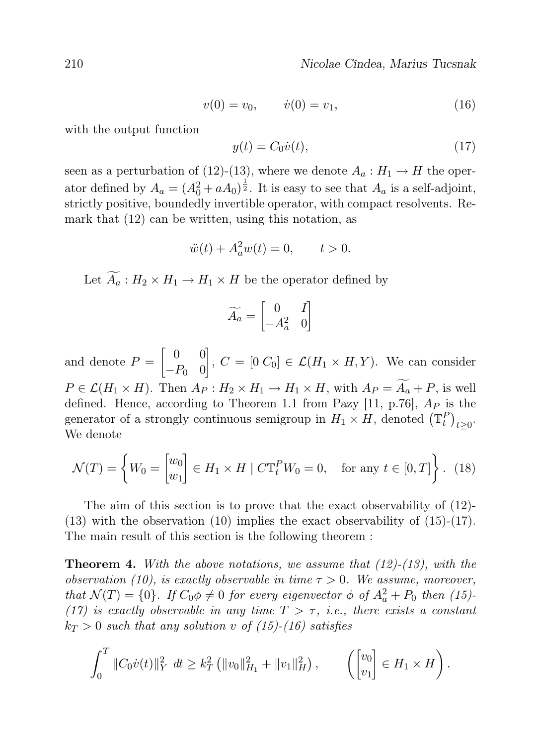$$
v(0) = v_0, \qquad \dot{v}(0) = v_1,\tag{16}
$$

with the output function

$$
y(t) = C_0 \dot{v}(t),\tag{17}
$$

seen as a perturbation of (12)-(13), where we denote  $A_a: H_1 \to H$  the operator defined by  $A_a = (A_0^2 + aA_0)^{\frac{1}{2}}$ . It is easy to see that  $A_a$  is a self-adjoint, strictly positive, boundedly invertible operator, with compact resolvents. Remark that (12) can be written, using this notation, as

$$
\ddot{w}(t) + A_a^2 w(t) = 0, \qquad t > 0.
$$

Let  $\widetilde{A}_a: H_2 \times H_1 \to H_1 \times H$  be the operator defined by

$$
\widetilde{A_a} = \begin{bmatrix} 0 & I \\ -A_a^2 & 0 \end{bmatrix}
$$

and denote  $P = \begin{bmatrix} 0 & 0 \\ 0 & 0 \end{bmatrix}$  $-P_0$  0  $\left[ \right], C = \left[ 0 \ C_0 \right] \in \mathcal{L}(H_1 \times H, Y)$ . We can consider  $P \in \mathcal{L}(H_1 \times H)$ . Then  $A_P : H_2 \times H_1 \to H_1 \times H$ , with  $A_P = \widetilde{A}_a + P$ , is well defined. Hence, according to Theorem 1.1 from Pazy [11, p.76],  $A<sub>P</sub>$  is the generator of a strongly continuous semigroup in  $H_1 \times H$ , denoted  $(\mathbb{T}_t^P)_{t \geq 0}$ . We denote

$$
\mathcal{N}(T) = \left\{ W_0 = \begin{bmatrix} w_0 \\ w_1 \end{bmatrix} \in H_1 \times H \mid C \mathbb{T}_t^P W_0 = 0, \text{ for any } t \in [0, T] \right\}. (18)
$$

The aim of this section is to prove that the exact observability of (12)-  $(13)$  with the observation  $(10)$  implies the exact observability of  $(15)-(17)$ . The main result of this section is the following theorem :

**Theorem 4.** With the above notations, we assume that  $(12)-(13)$ , with the observation (10), is exactly observable in time  $\tau > 0$ . We assume, moreover, that  $\mathcal{N}(T) = \{0\}$ . If  $C_0 \phi \neq 0$  for every eigenvector  $\phi$  of  $A_a^2 + P_0$  then (15)-(17) is exactly observable in any time  $T > \tau$ , i.e., there exists a constant  $k_T > 0$  such that any solution v of (15)-(16) satisfies

$$
\int_0^T \|C_0 \dot{v}(t)\|_Y^2 dt \geq k_T^2 \left( \|v_0\|_{H_1}^2 + \|v_1\|_H^2 \right), \qquad \left( \begin{bmatrix} v_0 \\ v_1 \end{bmatrix} \in H_1 \times H \right).
$$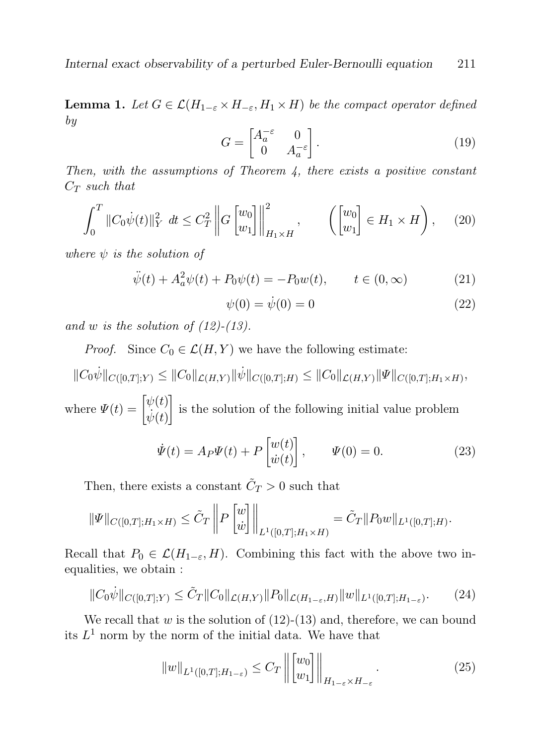**Lemma 1.** Let  $G \in \mathcal{L}(H_{1-\varepsilon} \times H_{-\varepsilon}, H_1 \times H)$  be the compact operator defined by

$$
G = \begin{bmatrix} A_a^{-\varepsilon} & 0\\ 0 & A_a^{-\varepsilon} \end{bmatrix} . \tag{19}
$$

Then, with the assumptions of Theorem  $\lambda$ , there exists a positive constant  $C_T$  such that

$$
\int_0^T \|C_0 \dot{\psi}(t)\|_Y^2 dt \le C_T^2 \left\| G \begin{bmatrix} w_0 \\ w_1 \end{bmatrix} \right\|_{H_1 \times H}^2, \qquad \left( \begin{bmatrix} w_0 \\ w_1 \end{bmatrix} \in H_1 \times H \right), \quad (20)
$$

where  $\psi$  is the solution of

$$
\ddot{\psi}(t) + A_a^2 \psi(t) + P_0 \psi(t) = -P_0 w(t), \qquad t \in (0, \infty)
$$
 (21)

$$
\psi(0) = \dot{\psi}(0) = 0 \tag{22}
$$

and w is the solution of  $(12)-(13)$ .

*Proof.* Since  $C_0 \in \mathcal{L}(H, Y)$  we have the following estimate:

 $||C_0\dot{\psi}||_{C([0,T];Y)} \leq ||C_0||_{\mathcal{L}(H,Y)} ||\dot{\psi}||_{C([0,T];H)} \leq ||C_0||_{\mathcal{L}(H,Y)} ||\Psi||_{C([0,T];H_1\times H)},$ where  $\Psi(t) = \begin{bmatrix} \psi(t) \\ i \end{bmatrix}$  $\dot{\psi}(t)$ is the solution of the following initial value problem

$$
\dot{\Psi}(t) = A_P \Psi(t) + P \begin{bmatrix} w(t) \\ \dot{w}(t) \end{bmatrix}, \qquad \Psi(0) = 0.
$$
 (23)

Then, there exists a constant  $\tilde{C}_T > 0$  such that

$$
\|\Psi\|_{C([0,T];H_1\times H)} \leq \tilde{C}_T \left\| P \begin{bmatrix} w \\ \dot{w} \end{bmatrix} \right\|_{L^1([0,T];H_1\times H)} = \tilde{C}_T \|P_0 w\|_{L^1([0,T];H)}.
$$

Recall that  $P_0 \in \mathcal{L}(H_{1-\varepsilon}, H)$ . Combining this fact with the above two inequalities, we obtain :

$$
||C_0\dot{\psi}||_{C([0,T];Y)} \leq \tilde{C}_T ||C_0||_{\mathcal{L}(H,Y)} ||P_0||_{\mathcal{L}(H_{1-\varepsilon},H)} ||w||_{L^1([0,T];H_{1-\varepsilon})}.
$$
 (24)

We recall that  $w$  is the solution of  $(12)-(13)$  and, therefore, we can bound its  $L^1$  norm by the norm of the initial data. We have that

$$
||w||_{L^{1}([0,T];H_{1-\varepsilon})} \leq C_T \left\| \begin{bmatrix} w_0 \\ w_1 \end{bmatrix} \right\|_{H_{1-\varepsilon} \times H_{-\varepsilon}}.
$$
\n(25)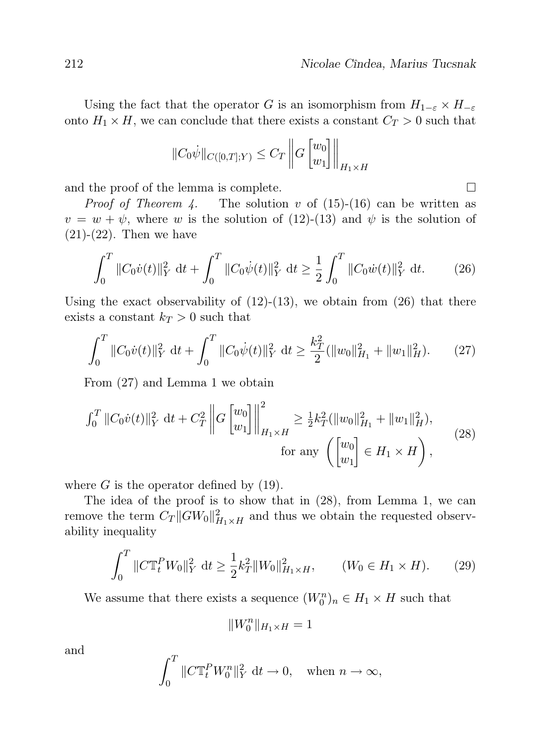Using the fact that the operator G is an isomorphism from  $H_{1-\varepsilon} \times H_{-\varepsilon}$ onto  $H_1 \times H$ , we can conclude that there exists a constant  $C_T > 0$  such that

$$
||C_0\dot{\psi}||_{C([0,T];Y)} \leq C_T \left\|G \begin{bmatrix} w_0 \\ w_1 \end{bmatrix} \right\|_{H_1 \times H}
$$

and the proof of the lemma is complete.  $\Box$ 

*Proof of Theorem 4.* The solution v of  $(15)-(16)$  can be written as  $v = w + \psi$ , where w is the solution of (12)-(13) and  $\psi$  is the solution of  $(21)-(22)$ . Then we have

$$
\int_0^T \|C_0 \dot{v}(t)\|_Y^2 dt + \int_0^T \|C_0 \dot{\psi}(t)\|_Y^2 dt \ge \frac{1}{2} \int_0^T \|C_0 \dot{w}(t)\|_Y^2 dt.
$$
 (26)

Using the exact observability of  $(12)-(13)$ , we obtain from  $(26)$  that there exists a constant  $k_T > 0$  such that

$$
\int_0^T \|C_0 \dot{v}(t)\|_Y^2 dt + \int_0^T \|C_0 \dot{\psi}(t)\|_Y^2 dt \ge \frac{k_T^2}{2} (\|w_0\|_{H_1}^2 + \|w_1\|_H^2). \tag{27}
$$

From (27) and Lemma 1 we obtain

$$
\int_0^T \|C_0 \dot{v}(t)\|_Y^2 \, \mathrm{d}t + C_T^2 \left\| G \begin{bmatrix} w_0 \\ w_1 \end{bmatrix} \right\|_{H_1 \times H}^2 \ge \frac{1}{2} k_T^2 (\|w_0\|_{H_1}^2 + \|w_1\|_H^2),
$$
\n
$$
\text{for any } \left( \begin{bmatrix} w_0 \\ w_1 \end{bmatrix} \in H_1 \times H \right),
$$
\n(28)

where  $G$  is the operator defined by  $(19)$ .

The idea of the proof is to show that in (28), from Lemma 1, we can remove the term  $C_T ||GW_0||^2_{H_1 \times H}$  and thus we obtain the requested observability inequality

$$
\int_0^T \|C\mathbb{T}_t^P W_0\|_Y^2 \, \mathrm{d}t \ge \frac{1}{2} k_T^2 \|W_0\|_{H_1 \times H}^2, \qquad (W_0 \in H_1 \times H). \tag{29}
$$

We assume that there exists a sequence  $(W_0^n)_n \in H_1 \times H$  such that

$$
||W_0^n||_{H_1\times H}=1
$$

and

$$
\int_0^T \|C\mathbb{T}_t^P W_0^n\|_Y^2 \, \mathrm{d}t \to 0, \quad \text{when } n \to \infty,
$$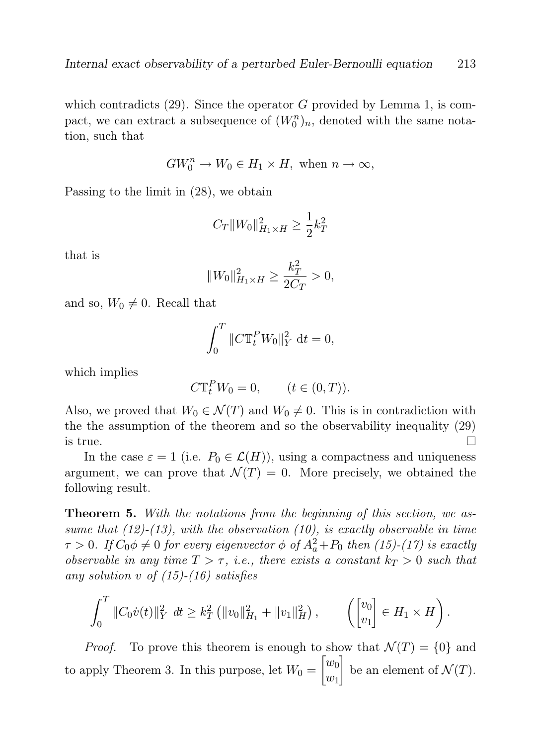which contradicts  $(29)$ . Since the operator G provided by Lemma 1, is compact, we can extract a subsequence of  $(W_0^n)_n$ , denoted with the same notation, such that

$$
GW_0^n \to W_0 \in H_1 \times H, \text{ when } n \to \infty,
$$

Passing to the limit in (28), we obtain

$$
C_T\|W_0\|_{H_1\times H}^2\geq \frac{1}{2}k_T^2
$$

that is

$$
||W_0||_{H_1 \times H}^2 \ge \frac{k_T^2}{2C_T} > 0,
$$

and so,  $W_0 \neq 0$ . Recall that

$$
\int_0^T \|C \mathbb{T}_t^P W_0\|_Y^2 \, \mathrm{d}t = 0,
$$

which implies

$$
C\mathbb{T}^P_t W_0 = 0, \qquad (t \in (0, T)).
$$

Also, we proved that  $W_0 \in \mathcal{N}(T)$  and  $W_0 \neq 0$ . This is in contradiction with the the assumption of the theorem and so the observability inequality (29) is true.  $\Box$ 

In the case  $\varepsilon = 1$  (i.e.  $P_0 \in \mathcal{L}(H)$ ), using a compactness and uniqueness argument, we can prove that  $\mathcal{N}(T) = 0$ . More precisely, we obtained the following result.

**Theorem 5.** With the notations from the beginning of this section, we assume that  $(12)-(13)$ , with the observation  $(10)$ , is exactly observable in time  $\tau > 0$ . If  $C_0 \phi \neq 0$  for every eigenvector  $\phi$  of  $A_a^2 + P_0$  then (15)-(17) is exactly observable in any time  $T > \tau$ , i.e., there exists a constant  $k_T > 0$  such that any solution v of  $(15)-(16)$  satisfies

$$
\int_0^T \|C_0 \dot{v}(t)\|_Y^2 dt \ge k_T^2 \left( \|v_0\|_{H_1}^2 + \|v_1\|_H^2 \right), \qquad \left( \begin{bmatrix} v_0 \\ v_1 \end{bmatrix} \in H_1 \times H \right).
$$

*Proof.* To prove this theorem is enough to show that  $\mathcal{N}(T) = \{0\}$  and to apply Theorem 3. In this purpose, let  $W_0 = \begin{bmatrix} w_0 \\ w_1 \end{bmatrix}$  $w_1$ be an element of  $\mathcal{N}(T)$ .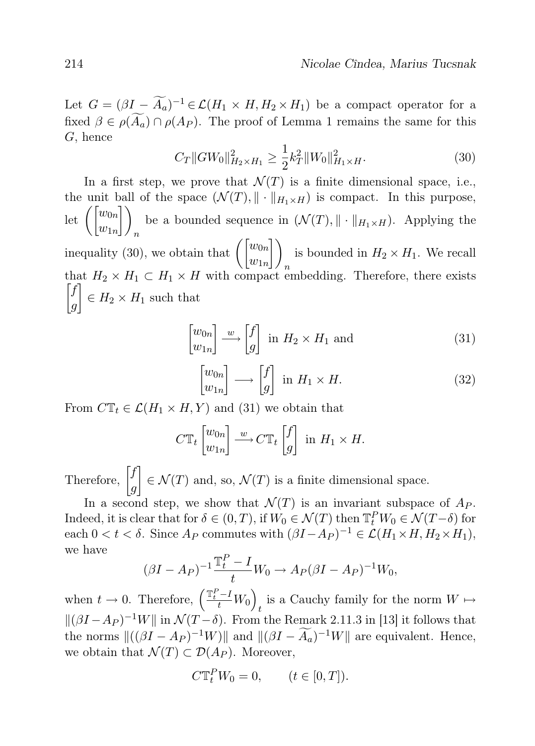Let  $G = (\beta I - \widetilde{A}_a)^{-1} \in \mathcal{L}(H_1 \times H, H_2 \times H_1)$  be a compact operator for a fixed  $\beta \in \rho(\widetilde{A}_a) \cap \rho(A_P)$ . The proof of Lemma 1 remains the same for this G, hence

$$
C_T \|GW_0\|_{H_2 \times H_1}^2 \ge \frac{1}{2} k_T^2 \|W_0\|_{H_1 \times H}^2. \tag{30}
$$

In a first step, we prove that  $\mathcal{N}(T)$  is a finite dimensional space, i.e., the unit ball of the space  $(\mathcal{N}(T), \|\cdot\|_{H_1 \times H})$  is compact. In this purpose,  $\mathrm{let} \; \biggl( \begin{bmatrix} w_{0n} \ w_{1n} \end{bmatrix}$  $\bigcap$ n be a bounded sequence in  $(\mathcal{N}(T), \|\cdot\|_{H_1 \times H})$ . Applying the inequality (30), we obtain that  $\left(\begin{bmatrix} w_{0n} \\ w_{1n} \end{bmatrix}\right)$ is bounded in  $H_2 \times H_1$ . We recall that  $H_2 \times H_1 \subset H_1 \times H$  with compact embedding. Therefore, there exists  $\int f$ g  $\Big] \in H_2 \times H_1$  such that

$$
\begin{bmatrix} w_{0n} \\ w_{1n} \end{bmatrix} \xrightarrow{w} \begin{bmatrix} f \\ g \end{bmatrix} \text{ in } H_2 \times H_1 \text{ and } \tag{31}
$$

$$
\begin{bmatrix} w_{0n} \\ w_{1n} \end{bmatrix} \longrightarrow \begin{bmatrix} f \\ g \end{bmatrix} \text{ in } H_1 \times H. \tag{32}
$$

From  $C\mathbb{T}_t \in \mathcal{L}(H_1 \times H, Y)$  and (31) we obtain that

$$
C\mathbb{T}_t\begin{bmatrix}w_{0n} \\ w_{1n}\end{bmatrix} \stackrel{w}{\longrightarrow} C\mathbb{T}_t\begin{bmatrix}f \\ g\end{bmatrix} \text{ in } H_1 \times H.
$$

Therefore,  $\left[\int_{a}^{f}$ g  $\left[\right] \in \mathcal{N}(T)$  and, so,  $\mathcal{N}(T)$  is a finite dimensional space.

In a second step, we show that  $\mathcal{N}(T)$  is an invariant subspace of  $A_P$ . Indeed, it is clear that for  $\delta \in (0, T)$ , if  $W_0 \in \mathcal{N}(T)$  then  $\mathbb{T}_t^P W_0 \in \mathcal{N}(T - \delta)$  for each  $0 < t < \delta$ . Since  $A_P$  commutes with  $(\beta I - A_P)^{-1} \in \mathcal{L}(H_1 \times H, H_2 \times H_1)$ , we have

$$
(\beta I - A_P)^{-1} \frac{\mathbb{T}_t^P - I}{t} W_0 \to A_P (\beta I - A_P)^{-1} W_0,
$$

when  $t \to 0$ . Therefore,  $\left(\frac{\mathbb{T}_{t}^{P}-I}{t}W_{0}\right)$ is a Cauchy family for the norm  $W \mapsto$  $\|(\beta I - A_P)^{-1}W\|$  in  $\mathcal{N}(T - \delta)$ . From the Remark 2.11.3 in [13] it follows that the norms  $||((\beta I - A_P)^{-1}W)||$  and  $||((\beta I - \widetilde{A}_a)^{-1}W||$  are equivalent. Hence, we obtain that  $\mathcal{N}(T) \subset \mathcal{D}(A_P)$ . Moreover,

$$
C\mathbb{T}^P_t W_0 = 0, \qquad (t \in [0, T]).
$$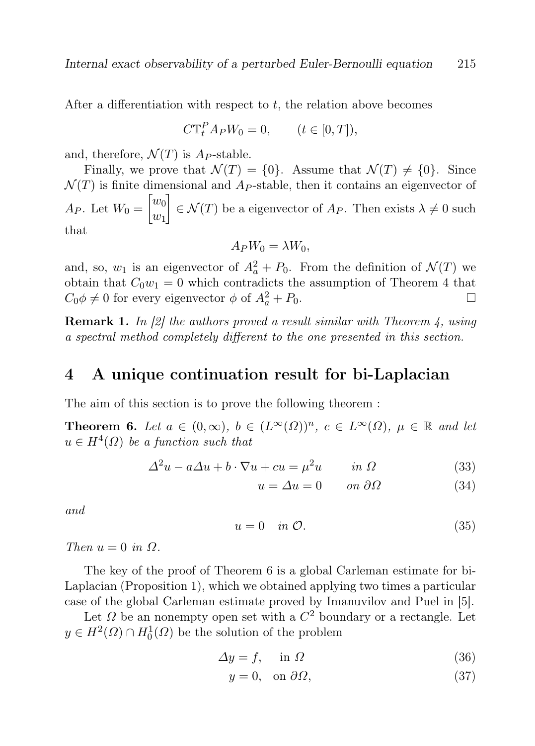After a differentiation with respect to  $t$ , the relation above becomes

$$
C\mathbb{T}_t^P A_P W_0 = 0, \qquad (t \in [0, T]),
$$

and, therefore,  $\mathcal{N}(T)$  is  $A_P$ -stable.

Finally, we prove that  $\mathcal{N}(T) = \{0\}$ . Assume that  $\mathcal{N}(T) \neq \{0\}$ . Since  $\mathcal{N}(T)$  is finite dimensional and  $A_P$ -stable, then it contains an eigenvector of  $A_P$ . Let  $W_0 = \begin{bmatrix} w_0 \\ w_1 \end{bmatrix}$  $w_1$  $\left[ \begin{array}{c} \in \mathcal{N}(T) \end{array} \right] \in \mathcal{N}(T)$  be a eigenvector of  $A_P$ . Then exists  $\lambda \neq 0$  such that

$$
A_P W_0 = \lambda W_0,
$$

and, so,  $w_1$  is an eigenvector of  $A_a^2 + P_0$ . From the definition of  $\mathcal{N}(T)$  we obtain that  $C_0w_1 = 0$  which contradicts the assumption of Theorem 4 that  $C_0 \phi \neq 0$  for every eigenvector  $\phi$  of  $A_a^2 + P_0$ .

**Remark 1.** In [2] the authors proved a result similar with Theorem 4, using a spectral method completely different to the one presented in this section.

### 4 A unique continuation result for bi-Laplacian

The aim of this section is to prove the following theorem :

**Theorem 6.** Let  $a \in (0, \infty)$ ,  $b \in (L^{\infty}(\Omega))^n$ ,  $c \in L^{\infty}(\Omega)$ ,  $\mu \in \mathbb{R}$  and let  $u \in H^4(\Omega)$  be a function such that

$$
\Delta^2 u - a\Delta u + b \cdot \nabla u + cu = \mu^2 u \qquad in \ \Omega \tag{33}
$$

$$
u = \Delta u = 0 \qquad on \ \partial\Omega \tag{34}
$$

and

$$
u = 0 \quad in \mathcal{O}.\tag{35}
$$

Then  $u = 0$  in  $\Omega$ .

The key of the proof of Theorem 6 is a global Carleman estimate for bi-Laplacian (Proposition 1), which we obtained applying two times a particular case of the global Carleman estimate proved by Imanuvilov and Puel in [5].

Let  $\Omega$  be an nonempty open set with a  $C^2$  boundary or a rectangle. Let  $y \in H^2(\Omega) \cap H_0^1(\Omega)$  be the solution of the problem

$$
\Delta y = f, \quad \text{in } \Omega \tag{36}
$$

$$
y = 0, \quad \text{on } \partial \Omega,\tag{37}
$$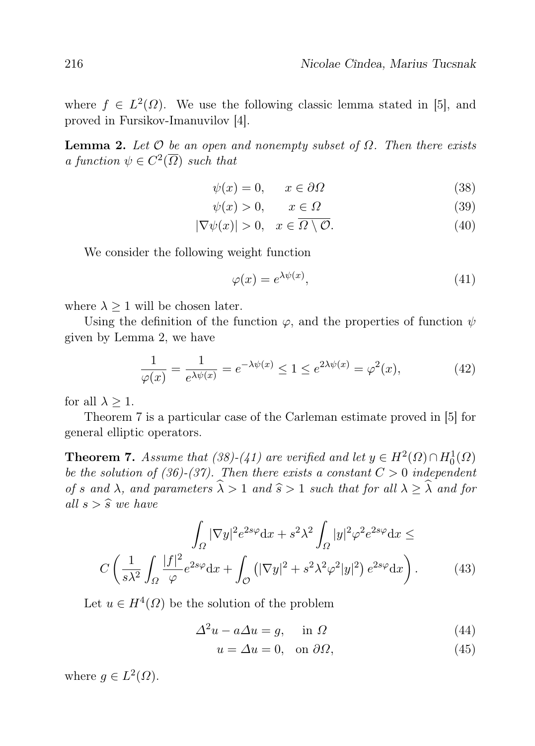where  $f \in L^2(\Omega)$ . We use the following classic lemma stated in [5], and proved in Fursikov-Imanuvilov [4].

**Lemma 2.** Let  $\mathcal O$  be an open and nonempty subset of  $\Omega$ . Then there exists a function  $\psi \in C^2(\overline{\Omega})$  such that

$$
\psi(x) = 0, \qquad x \in \partial \Omega \tag{38}
$$

$$
\psi(x) > 0, \qquad x \in \Omega \tag{39}
$$

$$
|\nabla \psi(x)| > 0, \quad x \in \Omega \setminus \mathcal{O}.\tag{40}
$$

We consider the following weight function

$$
\varphi(x) = e^{\lambda \psi(x)},\tag{41}
$$

where  $\lambda \geq 1$  will be chosen later.

Using the definition of the function  $\varphi$ , and the properties of function  $\psi$ given by Lemma 2, we have

$$
\frac{1}{\varphi(x)} = \frac{1}{e^{\lambda \psi(x)}} = e^{-\lambda \psi(x)} \le 1 \le e^{2\lambda \psi(x)} = \varphi^2(x),\tag{42}
$$

for all  $\lambda > 1$ .

Theorem 7 is a particular case of the Carleman estimate proved in [5] for general elliptic operators.

**Theorem 7.** Assume that (38)-(41) are verified and let  $y \in H^2(\Omega) \cap H_0^1(\Omega)$ be the solution of (36)-(37). Then there exists a constant  $C > 0$  independent of s and  $\lambda$ , and parameters  $\widehat{\lambda} > 1$  and  $\widehat{s} > 1$  such that for all  $\lambda \geq \widehat{\lambda}$  and for all  $s > \widehat{s}$  we have

$$
\int_{\Omega} |\nabla y|^2 e^{2s\varphi} dx + s^2 \lambda^2 \int_{\Omega} |y|^2 \varphi^2 e^{2s\varphi} dx \le
$$

$$
C \left( \frac{1}{s\lambda^2} \int_{\Omega} \frac{|f|^2}{\varphi} e^{2s\varphi} dx + \int_{\mathcal{O}} \left( |\nabla y|^2 + s^2 \lambda^2 \varphi^2 |y|^2 \right) e^{2s\varphi} dx \right). \tag{43}
$$

Let  $u \in H^4(\Omega)$  be the solution of the problem

$$
\Delta^2 u - a \Delta u = g, \quad \text{in } \Omega \tag{44}
$$

$$
u = \Delta u = 0, \quad \text{on } \partial\Omega,\tag{45}
$$

where  $g \in L^2(\Omega)$ .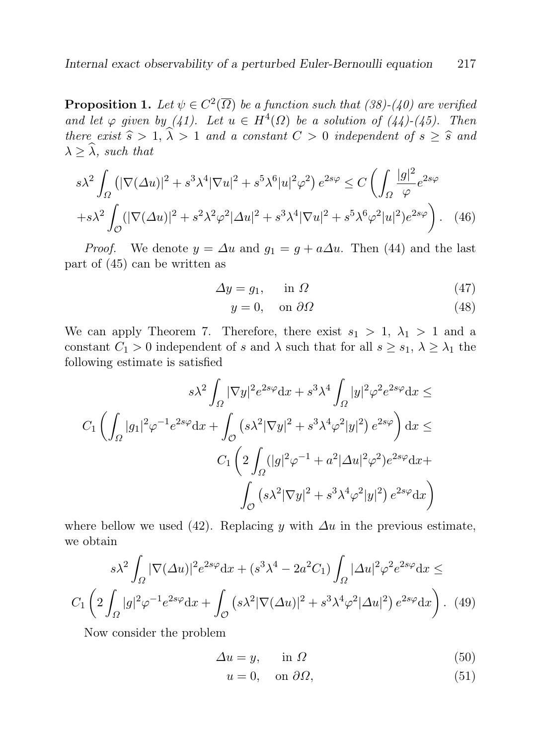**Proposition 1.** Let  $\psi \in C^2(\overline{\Omega})$  be a function such that (38)-(40) are verified and let  $\varphi$  given by (41). Let  $u \in H^4(\Omega)$  be a solution of (44)-(45). Then there exist  $\hat{s} > 1$ ,  $\hat{\lambda} > 1$  and a constant  $C > 0$  independent of  $s \geq \hat{s}$  and  $\lambda \geq \widehat{\lambda}$ , such that

$$
s\lambda^2 \int_{\Omega} \left( |\nabla(\Delta u)|^2 + s^3 \lambda^4 |\nabla u|^2 + s^5 \lambda^6 |u|^2 \varphi^2 \right) e^{2s\varphi} \leq C \left( \int_{\Omega} \frac{|g|^2}{\varphi} e^{2s\varphi} \right)
$$

$$
+ s\lambda^2 \int_{\mathcal{O}} (|\nabla(\Delta u)|^2 + s^2 \lambda^2 \varphi^2 |\Delta u|^2 + s^3 \lambda^4 |\nabla u|^2 + s^5 \lambda^6 \varphi^2 |u|^2) e^{2s\varphi} \right). \tag{46}
$$

*Proof.* We denote  $y = \Delta u$  and  $g_1 = g + a\Delta u$ . Then (44) and the last part of (45) can be written as

$$
\Delta y = g_1, \quad \text{in } \Omega \tag{47}
$$

$$
y = 0, \quad \text{on } \partial \Omega \tag{48}
$$

We can apply Theorem 7. Therefore, there exist  $s_1 > 1$ ,  $\lambda_1 > 1$  and a constant  $C_1 > 0$  independent of s and  $\lambda$  such that for all  $s \geq s_1, \lambda \geq \lambda_1$  the following estimate is satisfied

$$
s\lambda^2 \int_{\Omega} |\nabla y|^2 e^{2s\varphi} dx + s^3 \lambda^4 \int_{\Omega} |y|^2 \varphi^2 e^{2s\varphi} dx \leq
$$
  

$$
C_1 \left( \int_{\Omega} |g_1|^2 \varphi^{-1} e^{2s\varphi} dx + \int_{\mathcal{O}} \left( s\lambda^2 |\nabla y|^2 + s^3 \lambda^4 \varphi^2 |y|^2 \right) e^{2s\varphi} \right) dx \leq
$$
  

$$
C_1 \left( 2 \int_{\Omega} (|g|^2 \varphi^{-1} + a^2 |\Delta u|^2 \varphi^2) e^{2s\varphi} dx +
$$
  

$$
\int_{\mathcal{O}} \left( s\lambda^2 |\nabla y|^2 + s^3 \lambda^4 \varphi^2 |y|^2 \right) e^{2s\varphi} dx \right)
$$

where bellow we used (42). Replacing y with  $\Delta u$  in the previous estimate, we obtain

$$
s\lambda^2 \int_{\Omega} |\nabla(\Delta u)|^2 e^{2s\varphi} dx + (s^3 \lambda^4 - 2a^2 C_1) \int_{\Omega} |\Delta u|^2 \varphi^2 e^{2s\varphi} dx \leq
$$

$$
C_1 \left( 2 \int_{\Omega} |g|^2 \varphi^{-1} e^{2s\varphi} dx + \int_{\mathcal{O}} \left( s\lambda^2 |\nabla(\Delta u)|^2 + s^3 \lambda^4 \varphi^2 |\Delta u|^2 \right) e^{2s\varphi} dx \right). \tag{49}
$$

Now consider the problem

$$
\Delta u = y, \qquad \text{in } \Omega \tag{50}
$$

$$
u = 0, \quad \text{on } \partial \Omega,\tag{51}
$$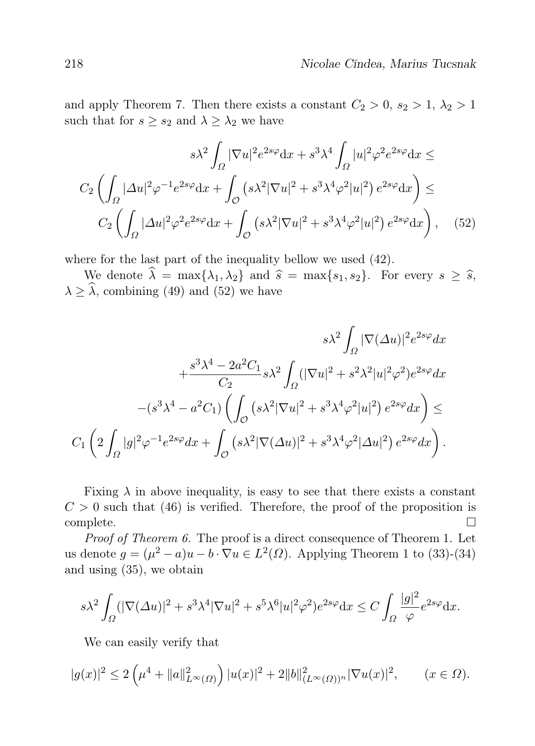and apply Theorem 7. Then there exists a constant  $C_2 > 0$ ,  $s_2 > 1$ ,  $\lambda_2 > 1$ such that for  $s \geq s_2$  and  $\lambda \geq \lambda_2$  we have

$$
s\lambda^2 \int_{\Omega} |\nabla u|^2 e^{2s\varphi} dx + s^3 \lambda^4 \int_{\Omega} |u|^2 \varphi^2 e^{2s\varphi} dx \leq
$$

$$
C_2 \left( \int_{\Omega} |\Delta u|^2 \varphi^{-1} e^{2s\varphi} dx + \int_{\mathcal{O}} \left( s\lambda^2 |\nabla u|^2 + s^3 \lambda^4 \varphi^2 |u|^2 \right) e^{2s\varphi} dx \right) \leq
$$

$$
C_2 \left( \int_{\Omega} |\Delta u|^2 \varphi^2 e^{2s\varphi} dx + \int_{\mathcal{O}} \left( s\lambda^2 |\nabla u|^2 + s^3 \lambda^4 \varphi^2 |u|^2 \right) e^{2s\varphi} dx \right), \quad (52)
$$

where for the last part of the inequality bellow we used (42).

We denote  $\hat{\lambda} = \max\{\lambda_1, \lambda_2\}$  and  $\hat{s} = \max\{s_1, s_2\}$ . For every  $s \geq \hat{s}$ ,  $\lambda \geq \widehat{\lambda}$ , combining (49) and (52) we have

$$
s\lambda^2 \int_{\Omega} |\nabla(\Delta u)|^2 e^{2s\varphi} dx
$$
  
+
$$
\frac{s^3 \lambda^4 - 2a^2 C_1}{C_2} s\lambda^2 \int_{\Omega} (|\nabla u|^2 + s^2 \lambda^2 |u|^2 \varphi^2) e^{2s\varphi} dx
$$
  
-
$$
(s^3 \lambda^4 - a^2 C_1) \left( \int_{\mathcal{O}} (s\lambda^2 |\nabla u|^2 + s^3 \lambda^4 \varphi^2 |u|^2) e^{2s\varphi} dx \right) \le C_1 \left( 2 \int_{\Omega} |g|^2 \varphi^{-1} e^{2s\varphi} dx + \int_{\mathcal{O}} (s\lambda^2 |\nabla(\Delta u)|^2 + s^3 \lambda^4 \varphi^2 |\Delta u|^2) e^{2s\varphi} dx \right).
$$

Fixing  $\lambda$  in above inequality, is easy to see that there exists a constant  $C > 0$  such that (46) is verified. Therefore, the proof of the proposition is  $\Box$ complete.

Proof of Theorem 6. The proof is a direct consequence of Theorem 1. Let us denote  $g = (\mu^2 - a)u - b \cdot \nabla u \in L^2(\Omega)$ . Applying Theorem 1 to (33)-(34) and using (35), we obtain

$$
s\lambda^2 \int_{\Omega} (|\nabla(\Delta u)|^2 + s^3 \lambda^4 |\nabla u|^2 + s^5 \lambda^6 |u|^2 \varphi^2) e^{2s\varphi} dx \le C \int_{\Omega} \frac{|g|^2}{\varphi} e^{2s\varphi} dx.
$$

We can easily verify that

$$
|g(x)|^2 \le 2\left(\mu^4 + \|a\|_{L^{\infty}(\Omega)}^2\right)|u(x)|^2 + 2\|b\|_{(L^{\infty}(\Omega))^n}^2|\nabla u(x)|^2, \qquad (x \in \Omega).
$$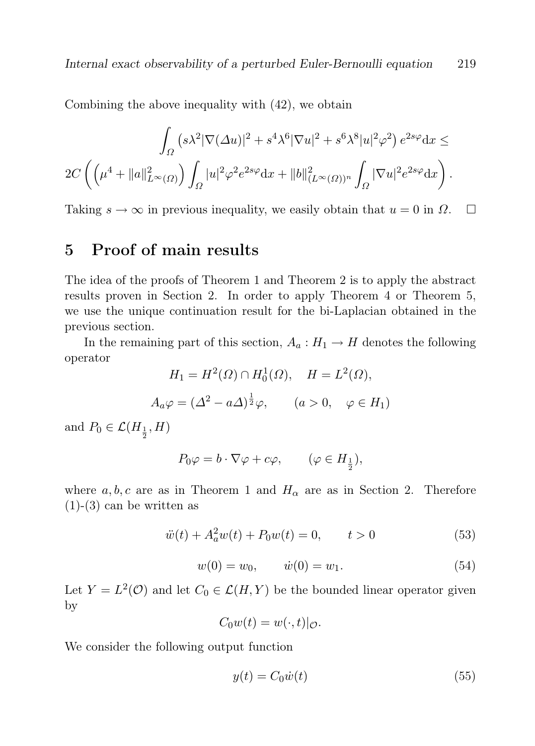Combining the above inequality with (42), we obtain

$$
\int_{\Omega} (s\lambda^2 |\nabla(\Delta u)|^2 + s^4 \lambda^6 |\nabla u|^2 + s^6 \lambda^8 |u|^2 \varphi^2) e^{2s\varphi} dx \le
$$
  

$$
2C \left( \left( \mu^4 + \|a\|_{L^{\infty}(\Omega)}^2 \right) \int_{\Omega} |u|^2 \varphi^2 e^{2s\varphi} dx + \|b\|_{(L^{\infty}(\Omega))^n}^2 \int_{\Omega} |\nabla u|^2 e^{2s\varphi} dx \right).
$$

Taking  $s \to \infty$  in previous inequality, we easily obtain that  $u = 0$  in  $\Omega$ .  $\Box$ 

### 5 Proof of main results

The idea of the proofs of Theorem 1 and Theorem 2 is to apply the abstract results proven in Section 2. In order to apply Theorem 4 or Theorem 5, we use the unique continuation result for the bi-Laplacian obtained in the previous section.

In the remaining part of this section,  $A_a: H_1 \to H$  denotes the following operator

$$
H_1 = H^2(\Omega) \cap H_0^1(\Omega), \quad H = L^2(\Omega),
$$
  

$$
A_a \varphi = (\Delta^2 - a\Delta)^{\frac{1}{2}} \varphi, \qquad (a > 0, \quad \varphi \in H_1)
$$

and  $P_0 \in \mathcal{L}(H_{\frac{1}{2}}, H)$ 

$$
P_0\varphi = b \cdot \nabla \varphi + c\varphi, \qquad (\varphi \in H_{\frac{1}{2}}),
$$

where  $a, b, c$  are as in Theorem 1 and  $H_{\alpha}$  are as in Section 2. Therefore  $(1)-(3)$  can be written as

$$
\ddot{w}(t) + A_a^2 w(t) + P_0 w(t) = 0, \qquad t > 0 \tag{53}
$$

$$
w(0) = w_0, \qquad \dot{w}(0) = w_1. \tag{54}
$$

Let  $Y = L^2(\mathcal{O})$  and let  $C_0 \in \mathcal{L}(H, Y)$  be the bounded linear operator given by

$$
C_0w(t) = w(\cdot, t)|_{\mathcal{O}}.
$$

We consider the following output function

$$
y(t) = C_0 \dot{w}(t) \tag{55}
$$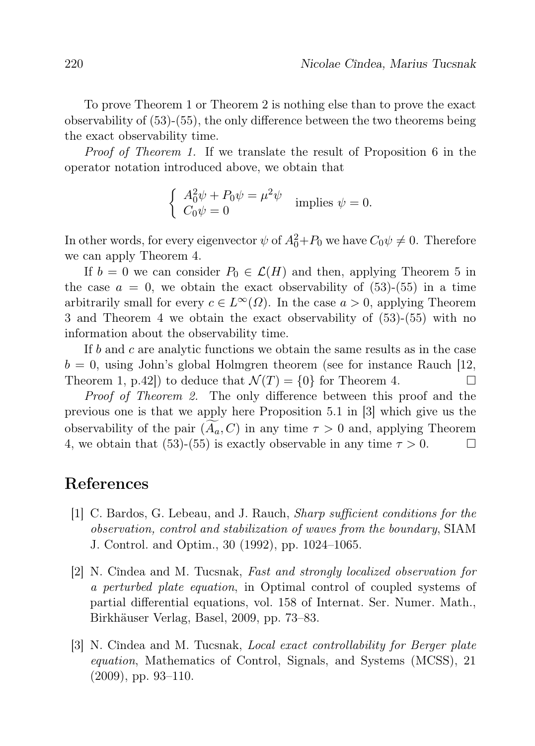To prove Theorem 1 or Theorem 2 is nothing else than to prove the exact observability of (53)-(55), the only difference between the two theorems being the exact observability time.

Proof of Theorem 1. If we translate the result of Proposition 6 in the operator notation introduced above, we obtain that

$$
\begin{cases}\nA_0^2 \psi + P_0 \psi = \mu^2 \psi \\
C_0 \psi = 0\n\end{cases}
$$
 implies  $\psi = 0$ .

In other words, for every eigenvector  $\psi$  of  $A_0^2+P_0$  we have  $C_0\psi \neq 0$ . Therefore we can apply Theorem 4.

If  $b = 0$  we can consider  $P_0 \in \mathcal{L}(H)$  and then, applying Theorem 5 in the case  $a = 0$ , we obtain the exact observability of (53)-(55) in a time arbitrarily small for every  $c \in L^{\infty}(\Omega)$ . In the case  $a > 0$ , applying Theorem 3 and Theorem 4 we obtain the exact observability of (53)-(55) with no information about the observability time.

If b and c are analytic functions we obtain the same results as in the case  $b = 0$ , using John's global Holmgren theorem (see for instance Rauch [12, Theorem 1, p.42) to deduce that  $\mathcal{N}(T) = \{0\}$  for Theorem 4.

Proof of Theorem 2. The only difference between this proof and the previous one is that we apply here Proposition 5.1 in [3] which give us the observability of the pair  $(A_a, C)$  in any time  $\tau > 0$  and, applying Theorem 4, we obtain that (53)-(55) is exactly observable in any time  $\tau > 0$ . 4, we obtain that (53)-(55) is exactly observable in any time  $\tau > 0$ .

### References

- [1] C. Bardos, G. Lebeau, and J. Rauch, Sharp sufficient conditions for the observation, control and stabilization of waves from the boundary, SIAM J. Control. and Optim., 30 (1992), pp. 1024–1065.
- [2] N. Cîndea and M. Tucsnak, Fast and strongly localized observation for a perturbed plate equation, in Optimal control of coupled systems of partial differential equations, vol. 158 of Internat. Ser. Numer. Math., Birkhäuser Verlag, Basel, 2009, pp. 73–83.
- [3] N. Cîndea and M. Tucsnak, Local exact controllability for Berger plate equation, Mathematics of Control, Signals, and Systems (MCSS), 21 (2009), pp. 93–110.